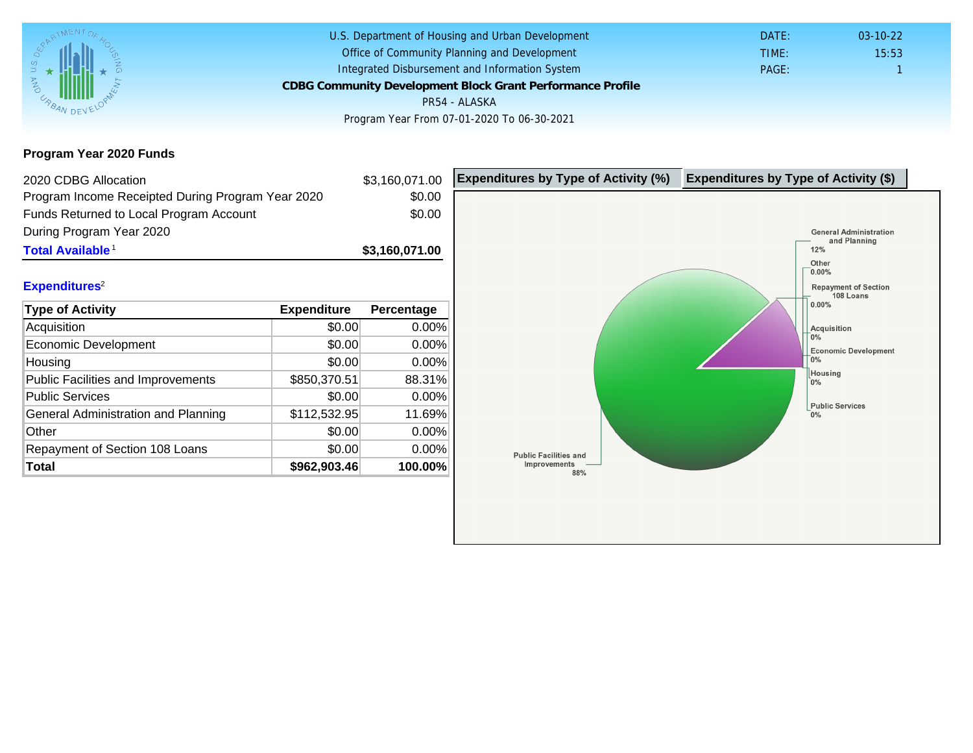Program Year 2020 Funds

| 2020 CDBG Allocation                              |              | \$3,160,071.00 | Expenditures by Type of Activity (%) | Expenditure |
|---------------------------------------------------|--------------|----------------|--------------------------------------|-------------|
| Program Income Receipted During Program Year 2020 |              | \$0.00         |                                      |             |
| Funds Returned to Local Program Account           |              | \$0.00         |                                      |             |
| During Program Year 2020                          |              |                |                                      |             |
| Total Available <sup>1</sup>                      |              | \$3,160,071.00 |                                      |             |
|                                                   |              |                |                                      |             |
| Expenditures <sup>2</sup>                         |              |                |                                      |             |
| Type of Activity                                  | Expenditure  | Percentage     |                                      |             |
| Acquisition                                       | \$0.00       | 0.00%          |                                      |             |
| Economic Development                              | \$0.00       | 0.00%          |                                      |             |
| Housing                                           | \$0.00       | 0.00%          |                                      |             |
| Public Facilities and Improvements                | \$850,370.51 | 88.31%         |                                      |             |
| <b>Public Services</b>                            | \$0.00       | 0.00%          |                                      |             |
| General Administration and Planning               | \$112,532.95 | 11.69%         |                                      |             |
| Other                                             | \$0.00       | 0.00%          |                                      |             |
| Repayment of Section 108 Loans                    | \$0.00       | 0.00%          |                                      |             |
| Total                                             | \$962,903.46 | 100.00%        |                                      |             |
|                                                   |              |                |                                      |             |
|                                                   |              |                |                                      |             |
|                                                   |              |                |                                      |             |
|                                                   |              |                |                                      |             |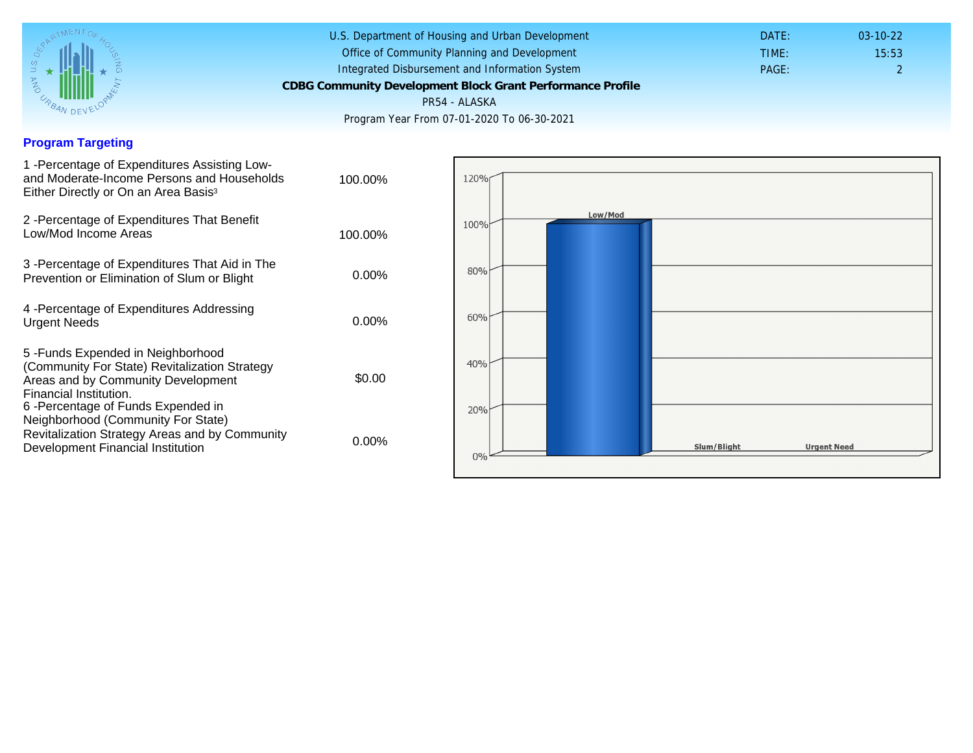## Program Targeting

| 1 - Percentage of Expenditures Assisting Low-<br>and Moderate-Income Persons and Households<br>Either Directly or On an Area Basis <sup>3</sup>                                                                                 | 100.00%  |
|---------------------------------------------------------------------------------------------------------------------------------------------------------------------------------------------------------------------------------|----------|
| 2 - Percentage of Expenditures That Benefit<br>Low/Mod Income Areas                                                                                                                                                             | 100.00%  |
| 3 -Percentage of Expenditures That Aid in The<br>Prevention or Elimination of Slum or Blight                                                                                                                                    | $0.00\%$ |
| 4 - Percentage of Expenditures Addressing<br><b>Urgent Needs</b>                                                                                                                                                                | $0.00\%$ |
| 5 - Funds Expended in Neighborhood<br>(Community For State) Revitalization Strategy<br>Areas and by Community Development<br>Financial Institution.<br>6 -Percentage of Funds Expended in<br>Neighborhood (Community For State) | \$0.00   |
| Revitalization Strategy Areas and by Community<br>Development Financial Institution                                                                                                                                             | 0.00%    |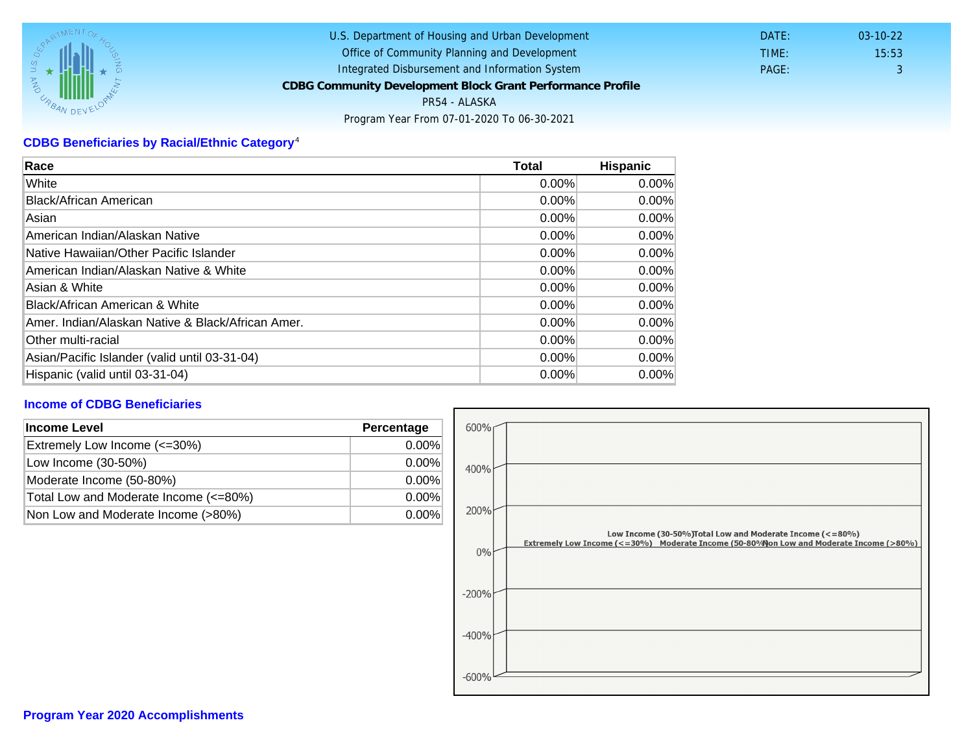## CDBG Beneficiaries by Racial/Ethnic Category <sup>4</sup>

| Race                                              | Total    | Hispanic |
|---------------------------------------------------|----------|----------|
| White                                             | $0.00\%$ | $0.00\%$ |
| Black/African American                            | 0.00%    | $0.00\%$ |
| Asian                                             | 0.00%    | 0.00%    |
| American Indian/Alaskan Native                    | 0.00%    | $0.00\%$ |
| Native Hawaiian/Other Pacific Islander            | $0.00\%$ | $0.00\%$ |
| American Indian/Alaskan Native & White            | 0.00%    | $0.00\%$ |
| Asian & White                                     | 0.00%    | 0.00%    |
| Black/African American & White                    | 0.00%    | 0.00%    |
| Amer. Indian/Alaskan Native & Black/African Amer. | $0.00\%$ | $0.00\%$ |
| <b>Other multi-racial</b>                         | 0.00%    | $0.00\%$ |
| Asian/Pacific Islander (valid until 03-31-04)     | $0.00\%$ | 0.00%    |
| Hispanic (valid until 03-31-04)                   | 0.00%    | 0.00%    |

## Income of CDBG Beneficiaries

| Income Level                          | Percentage |
|---------------------------------------|------------|
| Extremely Low Income (<=30%)          | $0.00\%$   |
| Low Income (30-50%)                   | $0.00\%$   |
| Moderate Income (50-80%)              | $0.00\%$   |
| Total Low and Moderate Income (<=80%) | $0.00\%$   |
| Non Low and Moderate Income (>80%)    | 0.00%      |